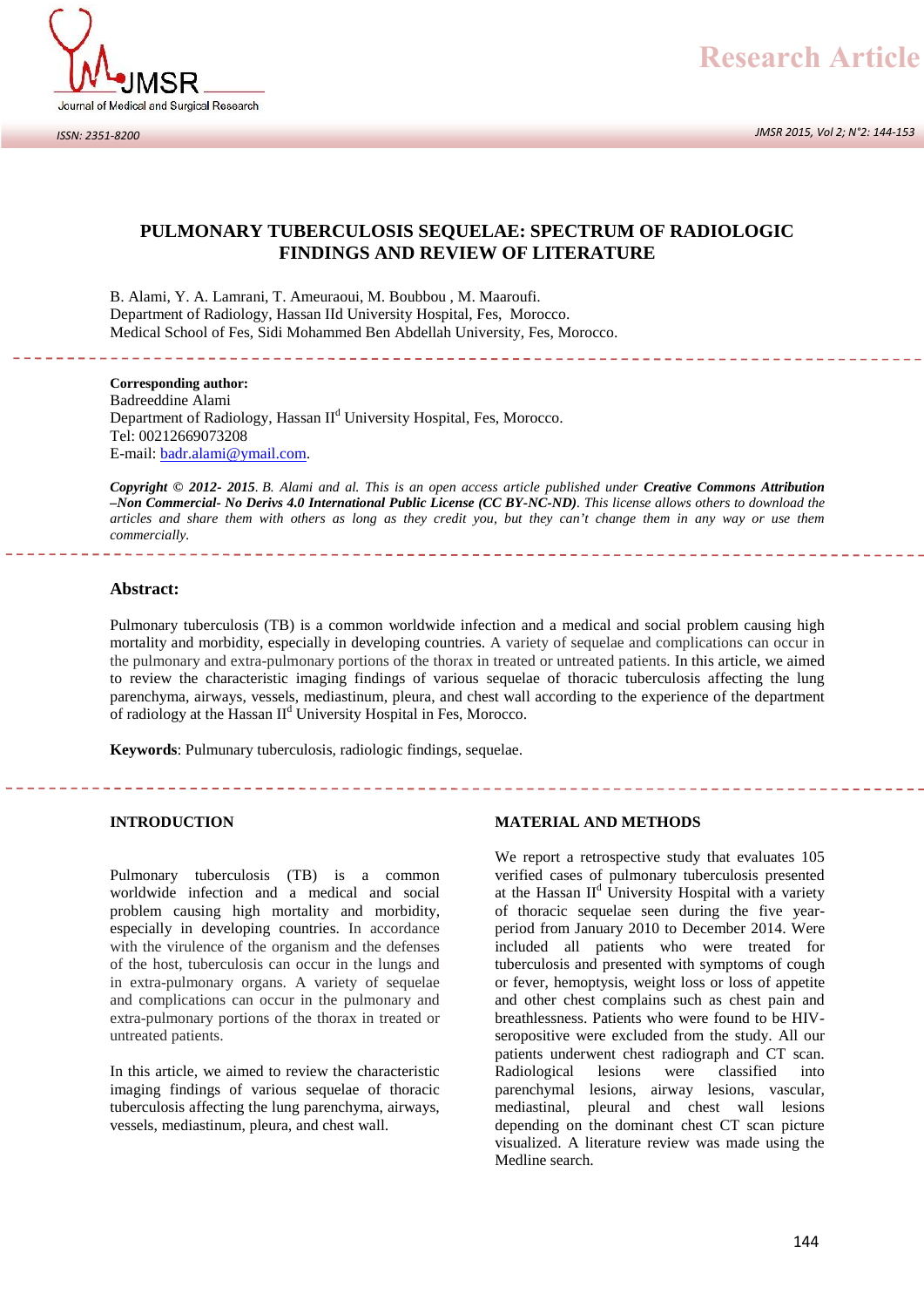

*JMSR 2015, Vol 2; N°2: 144-153*

# **PULMONARY TUBERCULOSIS SEQUELAE: SPECTRUM OF RADIOLOGIC FINDINGS AND REVIEW OF LITERATURE**

PULMONARY TUBERCULOSIS SEQUELAE: SPECTH<br>FINDINGS AND REVIEW OF LITERA<br>B. Alami, Y. A. Lamrani, T. Ameuraoui, M. Boubbou , M. Maaroufi.<br>Department of Radiology, Hassan IId University Hospital, Fes, Morocco. Medical School of Fes, Sidi Mohammed Ben Abdellah University, Fes, Morocco.

**Corresponding author:** Badreeddine Alami Department of Radiology, Hassan II<sup>d</sup> University Hospital, Fes, Morocco. Tel: 00212669073208 E-mail: badr.alami@ymail.com.

*Copyright © 2012- 2015. B. Alami and al. This is an open access article published under Creative Commons Attribution –Non Commercial- No Derivs 4.0 International Public License (CC BY-NC-ND). This license allows others to download the articles and share them with others as long as they credit you, but they can't change them in any way or use them commercially.*

# **Abstract:**

Pulmonary tuberculosis (TB) is a common worldwide infection and a medical and social problem causing high mortality and morbidity, especially in developing countries. A variety of sequelae and complications can occur in the pulmonary and extra-pulmonary portions of the thorax in treated or untreated patients. In this article, we aimed to review the characteristic imaging findings of various sequelae of thoracic tuberculosis affecting the lung parenchyma, airways, vessels, mediastinum, pleura, and chest wall according to the experience of the department of radiology at the Hassan  $II<sup>d</sup>$  University Hospital in Fes, Morocco.

**Keywords**: Pulmunary tuberculosis, radiologic findings, sequelae.

#### **INTRODUCTION**

Pulmonary tuberculosis (TB) is a common worldwide infection and a medical and social problem causing high mortality and morbidity, especially in developing countries. In accordance with the virulence of the organism and the defenses of the host, tuberculosis can occur in the lungs and in extra-pulmonary organs. A variety of sequelae and complications can occur in the pulmonary and extra-pulmonary portions of the thorax in treated or untreated patients.

In this article, we aimed to review the characteristic imaging findings of various sequelae of thoracic tuberculosis affecting the lung parenchyma, airways, vessels, mediastinum, pleura, and chest wall.

#### **MATERIAL AND METHODS**

We report a retrospective study that evaluates 105 verified cases of pulmonary tuberculosis presented at the Hassan  $II<sup>d</sup>$  University Hospital with a variety of thoracic sequelae seen during the five year period from January 2010 to December 2014. Were included all patients who were treated for tuberculosis and presented with symptoms of cough or fever, hemoptysis, weight loss or loss of appetite and other chest complains such as chest pain and breathlessness. Patients who were found to be HIV seropositive were excluded from the study. All our patients underwent chest radiograph and CT scan. Radiological lesions were classified into parenchymal lesions, airway lesions, vascular, mediastinal, pleural and chest wall lesions depending on the dominant chest CT scan picture visualized. A literature review was made using the Medline search.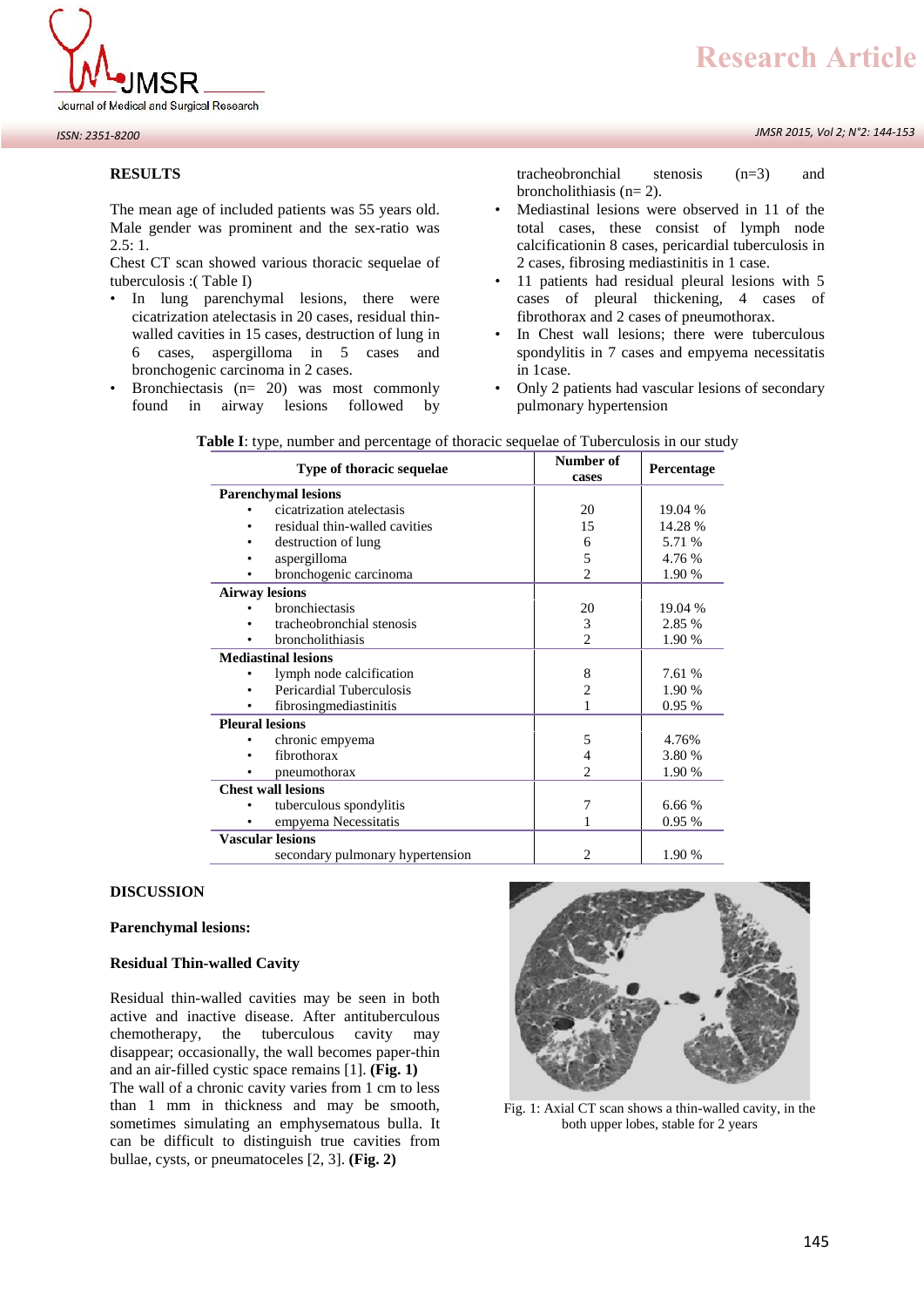

*JMSR 2015, Vol 2; N°2: 144-153*



#### **RESULTS**

The mean age of included patients was 55 years old. Male gender was prominent and the sex-ratio was  $2.5:1.$ 

Chest CT scan showed various thoracic sequelae of tuberculosis :( Table I)

- In lung parenchymal lesions, there were cicatrization atelectasis in 20 cases, residual thin walled cavities in 15 cases, destruction of lung in 6 cases, aspergilloma in 5 cases and bronchogenic carcinoma in 2 cases.
- Bronchiectasis  $(n= 20)$  was most commonly found in airway lesions followed by

tracheobronchial stenosis (n=3) and broncholithiasis  $(n=2)$ .

- Mediastinal lesions were observed in 11 of the total cases, these consist of lymph node calcificationin 8 cases, pericardial tuberculosis in 2 cases, fibrosing mediastinitis in 1 case.
- 11 patients had residual pleural lesions with 5 cases of pleural thickening, 4 cases of fibrothorax and 2 cases of pneumothorax.
- In Chest wall lesions; there were tuberculous spondylitis in 7 cases and empyema necessitatis in 1case.
- Only 2 patients had vascular lesions of secondary pulmonary hypertension

| Type of thoracic sequelae          | Number of<br>cases | Percentage |
|------------------------------------|--------------------|------------|
| <b>Parenchymal lesions</b>         |                    |            |
| cicatrization atelectasis<br>٠     | 20                 | 19.04 %    |
| residual thin-walled cavities<br>٠ | 15                 | 14.28 %    |
| destruction of lung                | 6                  | 5.71 %     |
| aspergilloma                       | 5                  | 4.76 %     |
| bronchogenic carcinoma             | $\overline{c}$     | 1.90 %     |
| <b>Airway lesions</b>              |                    |            |
| bronchiectasis                     | 20                 | 19.04 %    |
| tracheobronchial stenosis          | 3                  | 2.85 %     |
| broncholithiasis                   | $\overline{c}$     | 1.90 %     |
| <b>Mediastinal lesions</b>         |                    |            |
| lymph node calcification           | 8                  | 7.61 %     |
| Pericardial Tuberculosis           | 2                  | 1.90 %     |
| fibrosingmediastinitis             |                    | 0.95%      |
| <b>Pleural lesions</b>             |                    |            |
| chronic empyema                    | 5                  | 4.76%      |
| fibrothorax                        | 4                  | 3.80 %     |
| pneumothorax                       | $\overline{c}$     | 1.90 %     |
| <b>Chest wall lesions</b>          |                    |            |
| tuberculous spondylitis            | 7                  | 6.66 %     |
| empyema Necessitatis               |                    | 0.95%      |
| <b>Vascular lesions</b>            |                    |            |
| secondary pulmonary hypertension   | 2                  | 1.90 %     |

| <b>Table I:</b> type, number and percentage of thoracic sequelae of Tuberculosis in our study |  |
|-----------------------------------------------------------------------------------------------|--|
|                                                                                               |  |

# **DISCUSSION**

# **Parenchymal lesions:**

## **Residual Thin-walled Cavity**

Residual thin-walled cavities may be seen in both active and inactive disease. After antituberculous chemotherapy, the tuberculous cavity may disappear; occasionally, the wall becomes paper-thin and an air-filled cystic space remains [1]. **(Fig. 1)** The wall of a chronic cavity varies from 1 cm to less than 1 mm in thickness and may be smooth, sometimes simulating an emphysematous bulla. It can be difficult to distinguish true cavities from bullae, cysts, or pneumatoceles [2, 3]. **(Fig. 2)**



Fig. 1: Axial CT scan shows a thin-walled cavity, in the both upper lobes, stable for 2 years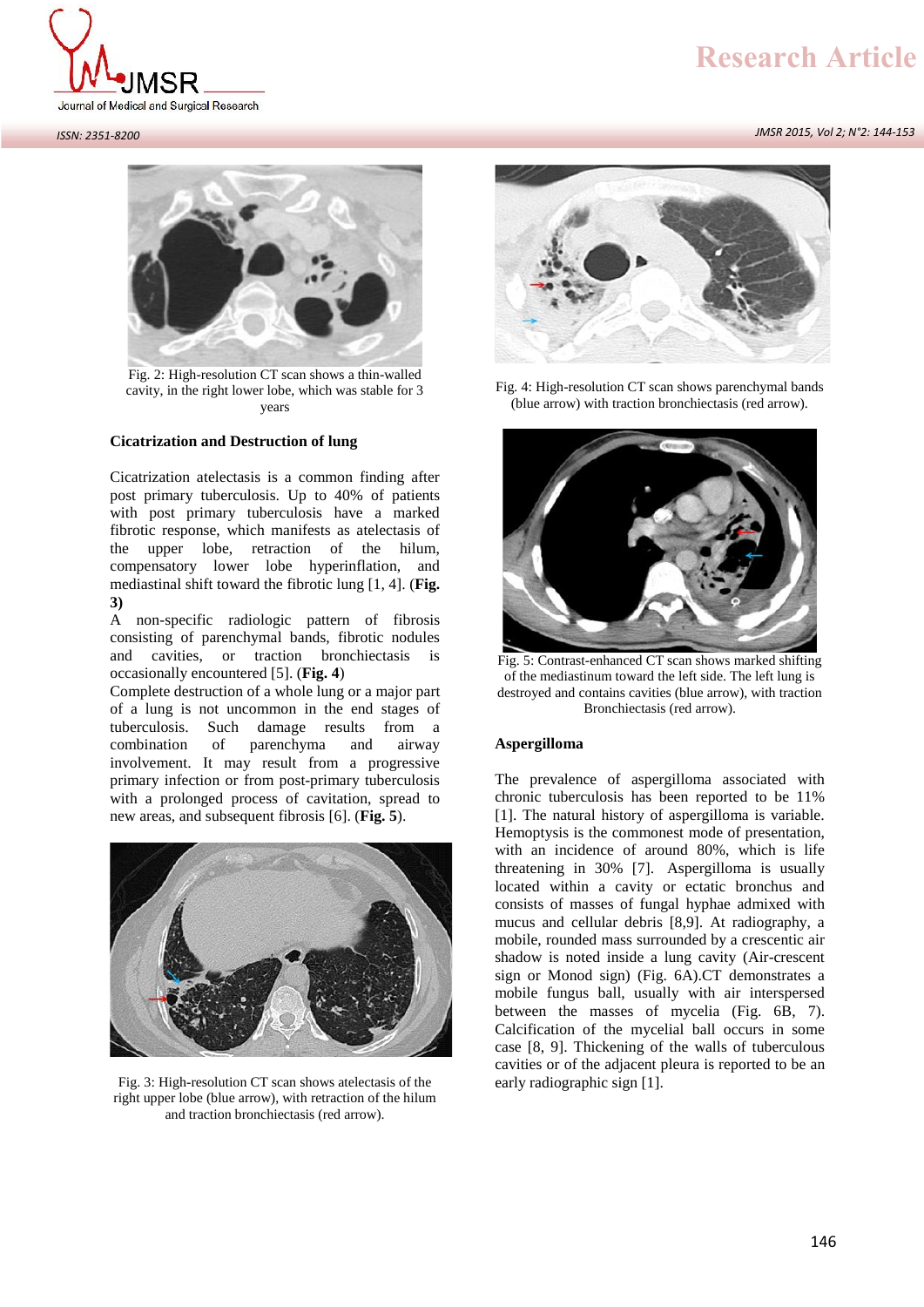

Journal of Medical and Surgical Research

#### *ISSN: 2351-8200*

*JMSR 2015, Vol 2; N°2: 144-153*



Fig. 2: High-resolution CT scan shows a thin-walled cavity, in the right lower lobe, which was stable for 3 years

## **Cicatrization and Destruction of lung**

Cicatrization atelectasis is a common finding after post primary tuberculosis. Up to 40% of patients with post primary tuberculosis have a marked fibrotic response, which manifests as atelectasis of the upper lobe, retraction of the hilum, compensatory lower lobe hyperinflation, and mediastinal shift toward the fibrotic lung [1, 4]. (**Fig. 3)**

A non-specific radiologic pattern of fibrosis consisting of parenchymal bands, fibrotic nodules and cavities, or traction bronchiectasis is occasionally encountered [5]. (**Fig. 4**)

Complete destruction of a whole lung or a major part of a lung is not uncommon in the end stages of tuberculosis. Such damage results from a combination of parenchyma and airway involvement. It may result from a progressive primary infection or from post-primary tuberculosis with a prolonged process of cavitation, spread to new areas, and subsequent fibrosis [6]. (**Fig. 5**).



Fig. 3: High-resolution CT scan shows atelectasis of the right upper lobe (blue arrow), with retraction of the hilum and traction bronchiectasis (red arrow).



Fig. 4: High-resolution CT scan shows parenchymal bands (blue arrow) with traction bronchiectasis (red arrow).



Fig. 5: Contrast-enhanced CT scan shows marked shifting of the mediastinum toward the left side. The left lung is destroyed and contains cavities (blue arrow), with traction Bronchiectasis (red arrow).

#### **Aspergilloma**

The prevalence of aspergilloma associated with chronic tuberculosis has been reported to be 11% [1]. The natural history of aspergilloma is variable. Hemoptysis is the commonest mode of presentation, with an incidence of around 80%, which is life threatening in 30% [7]. Aspergilloma is usually located within a cavity or ectatic bronchus and consists of masses of fungal hyphae admixed with mucus and cellular debris [8,9]. At radiography, a mobile, rounded mass surrounded by a crescentic air shadow is noted inside a lung cavity (Air-crescent sign or Monod sign) (Fig. 6A).CT demonstrates a mobile fungus ball, usually with air interspersed between the masses of mycelia (Fig. 6B, 7). Calcification of the mycelial ball occurs in some case [8, 9]. Thickening of the walls of tuberculous cavities or of the adjacent pleura is reported to be an early radiographic sign [1].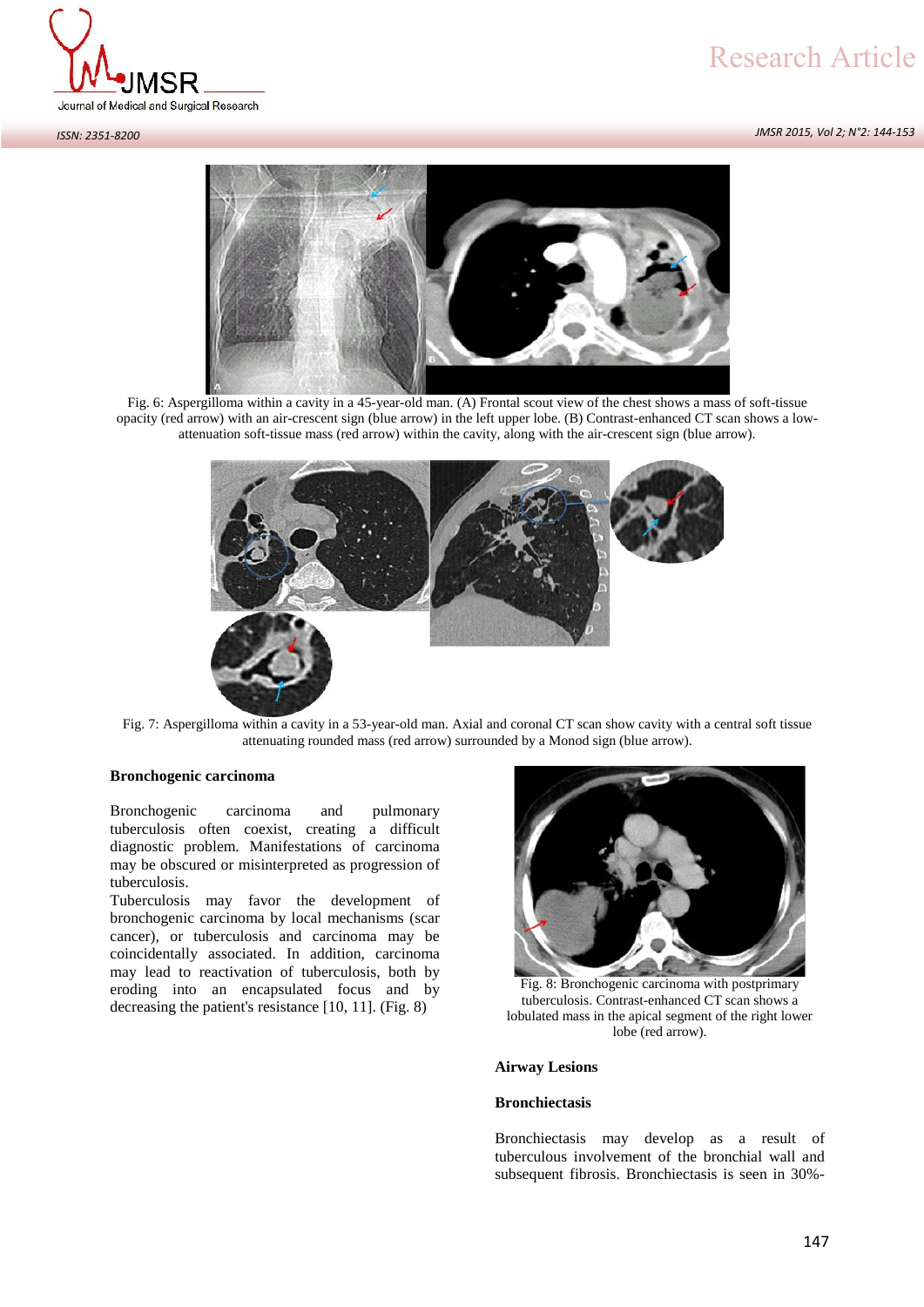*JMSR 2015, Vol 2; N°2: 144-153*



#### *ISSN: 2351-8200*



Fig. 6: Aspergilloma within a cavity in a 45-year-old man. (A) Frontal scout view of the chest shows a mass of soft-tissue opacity (red arrow) with an air-crescent sign (blue arrow) in the left upper lobe. (B) Contrast-enhanced CT scan shows a low attenuation soft-tissue mass (red arrow) within the cavity, along with the air-crescent sign (blue arrow).



Fig. 7: Aspergilloma within a cavity in a 53-year-old man. Axial and coronal CT scan show cavity with a central soft tissue attenuating rounded mass (red arrow) surrounded by a Monod sign (blue arrow).

# **Bronchogenic carcinoma**

Bronchogenic carcinoma and pulmonary tuberculosis often coexist, creating a difficult diagnostic problem. Manifestations of carcinoma may be obscured or misinterpreted as progression of tuberculosis.

Tuberculosis may favor the development of bronchogenic carcinoma by local mechanisms (scar cancer), or tuberculosis and carcinoma may be coincidentally associated. In addition, carcinoma may lead to reactivation of tuberculosis, both by eroding into an encapsulated focus and by decreasing the patient's resistance [10, 11]. (Fig. 8)



Fig. 8: Bronchogenic carcinoma with postprimary tuberculosis. Contrast-enhanced CT scan shows a lobulated mass in the apical segment of the right lower lobe (red arrow).

#### **Airway Lesions**

### **Bronchiectasis**

Bronchiectasis may develop as a result of tuberculous involvement of the bronchial wall and subsequent fibrosis. Bronchiectasis is seen in 30%-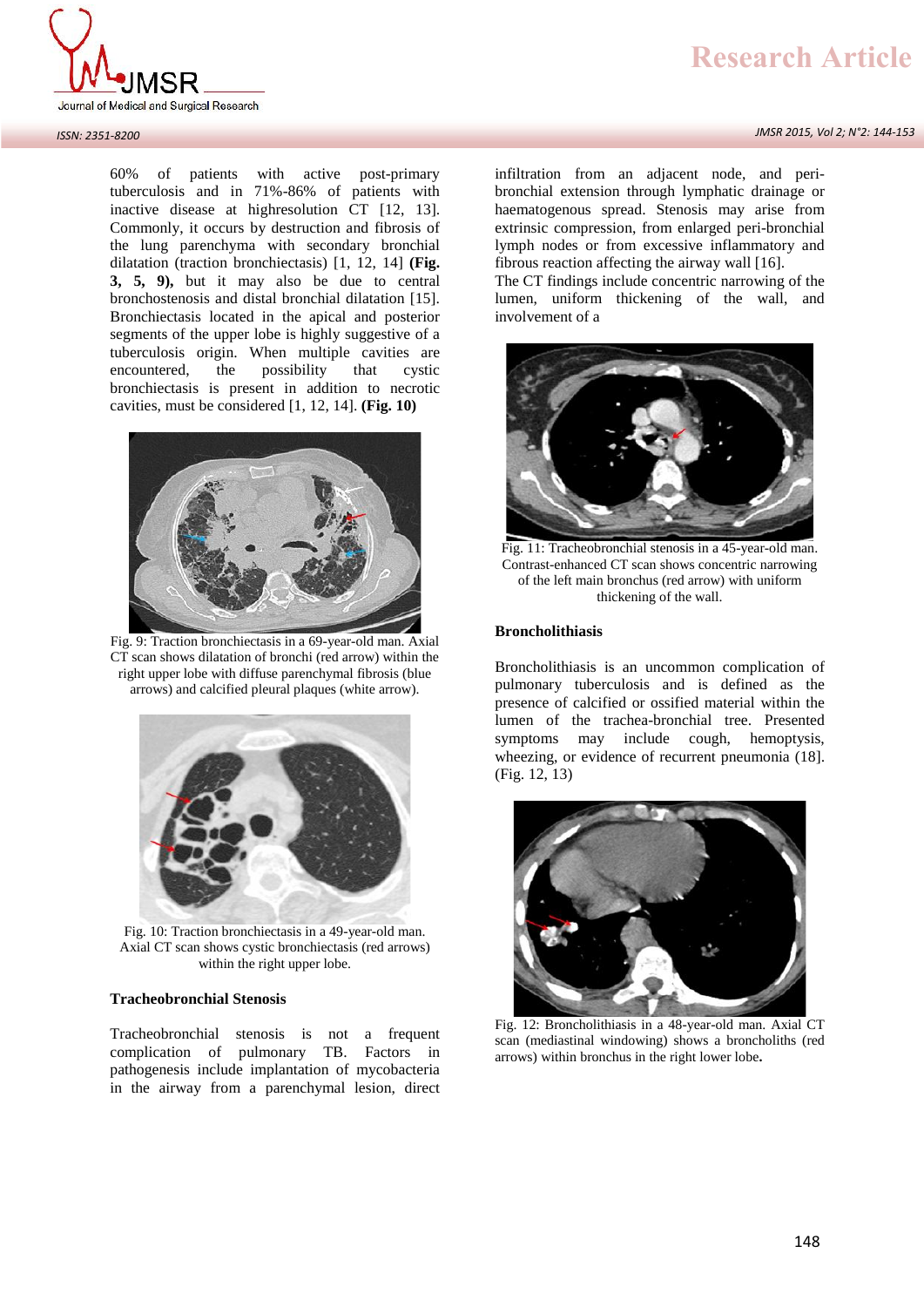

#### *ISSN: 2351-8200*

60% of patients with active post-primary tuberculosis and in 71%-86% of patients with inactive disease at highresolution CT [12, 13]. Commonly, it occurs by destruction and fibrosis of the lung parenchyma with secondary bronchial dilatation (traction bronchiectasis) [1, 12, 14] **(Fig. 3, 5, 9),** but it may also be due to central bronchostenosis and distal bronchial dilatation [15]. Bronchiectasis located in the apical and posterior segments of the upper lobe is highly suggestive of a tuberculosis origin. When multiple cavities are<br>encountered, the possibility that cystic encountered, the possibility that cystic bronchiectasis is present in addition to necrotic cavities, must be considered [1, 12, 14]. **(Fig. 10)**



Fig. 9: Traction bronchiectasis in a 69-year-old man. Axial CT scan shows dilatation of bronchi (red arrow) within the right upper lobe with diffuse parenchymal fibrosis (blue arrows) and calcified pleural plaques (white arrow).



Fig. 10: Traction bronchiectasis in a 49-year-old man. Axial CT scan shows cystic bronchiectasis (red arrows) within the right upper lobe.

# **Tracheobronchial Stenosis**

Tracheobronchial stenosis is not a frequent complication of pulmonary TB. Factors in pathogenesis include implantation of mycobacteria in the airway from a parenchymal lesion, direct *JMSR 2015, Vol 2; N°2: 144-153*

infiltration from an adjacent node, and peri bronchial extension through lymphatic drainage or haematogenous spread. Stenosis may arise from extrinsic compression, from enlarged peri-bronchial lymph nodes or from excessive inflammatory and fibrous reaction affecting the airway wall [16].

The CT findings include concentric narrowing of the lumen, uniform thickening of the wall, and involvement of a



Fig. 11: Tracheobronchial stenosis in a 45-year-old man. Contrast-enhanced CT scan shows concentric narrowing of the left main bronchus (red arrow) with uniform thickening of the wall.

#### **Broncholithiasis**

Broncholithiasis is an uncommon complication of pulmonary tuberculosis and is defined as the presence of calcified or ossified material within the lumen of the trachea-bronchial tree. Presented symptoms may include cough, hemoptysis, wheezing, or evidence of recurrent pneumonia (18]. (Fig. 12, 13)



Fig. 12: Broncholithiasis in a 48-year-old man. Axial CT scan (mediastinal windowing) shows a broncholiths (red arrows) within bronchus in the right lower lobe**.**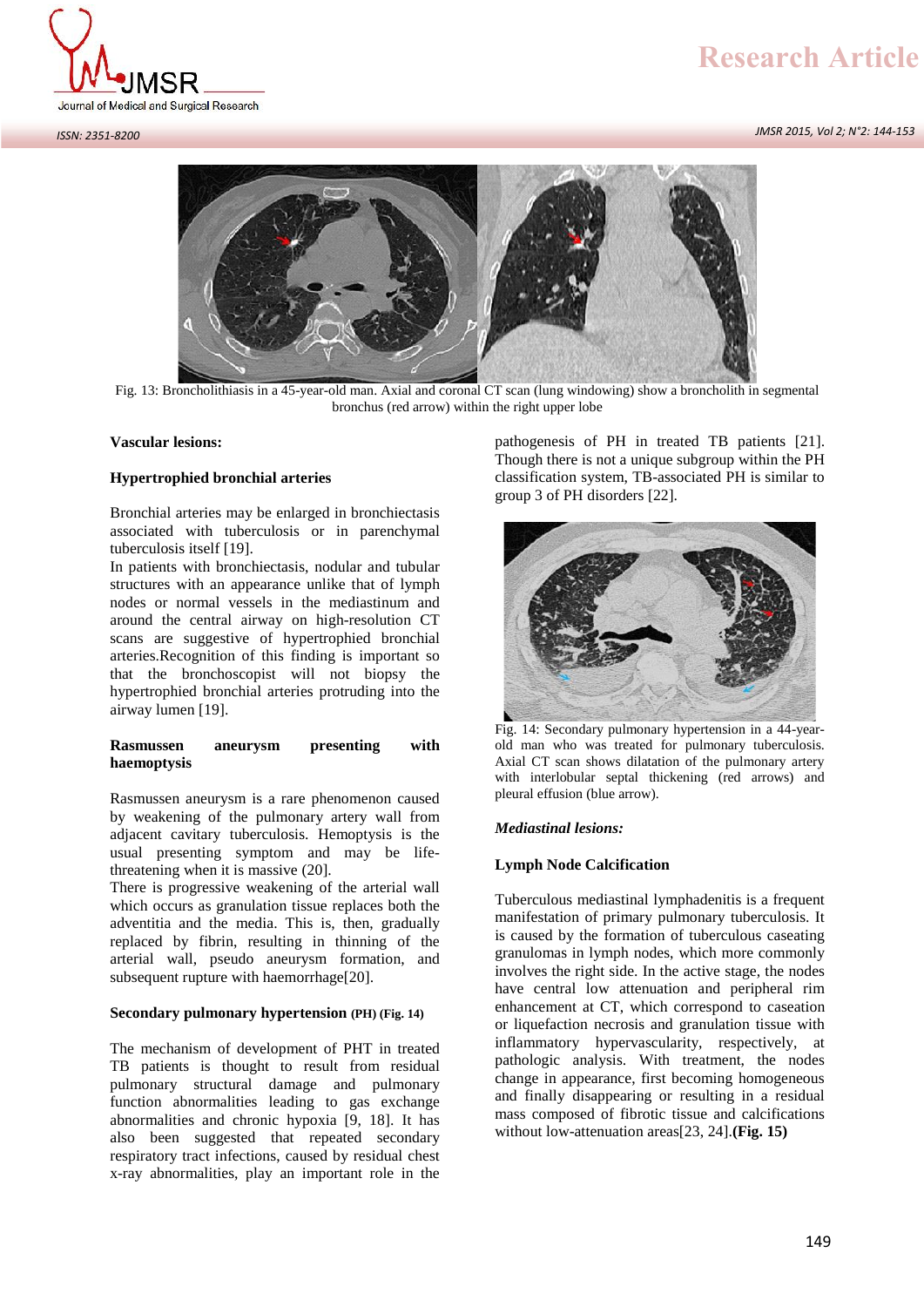

*JMSR 2015, Vol 2; N°2: 144-153*



Fig. 13: Broncholithiasis in a 45-year-old man. Axial and coronal CT scan (lung windowing) show a broncholith in segmental bronchus (red arrow) within the right upper lobe

## **Vascular lesions:**

# **Hypertrophied bronchial arteries**

Bronchial arteries may be enlarged in bronchiectasis associated with tuberculosis or in parenchymal tuberculosis itself [19].

In patients with bronchiectasis, nodular and tubular structures with an appearance unlike that of lymph nodes or normal vessels in the mediastinum and around the central airway on high-resolution CT scans are suggestive of hypertrophied bronchial arteries.Recognition of this finding is important so that the bronchoscopist will not biopsy the hypertrophied bronchial arteries protruding into the airway lumen [19].

## **Rasmussen aneurysm presenting with haemoptysis**

Rasmussen aneurysm is a rare phenomenon caused by weakening of the pulmonary artery wall from adjacent cavitary tuberculosis. Hemoptysis is the usual presenting symptom and may be lifethreatening when it is massive (20].

There is progressive weakening of the arterial wall which occurs as granulation tissue replaces both the adventitia and the media. This is, then, gradually replaced by fibrin, resulting in thinning of the arterial wall, pseudo aneurysm formation, and subsequent rupture with haemorrhage[20].

## **Secondary pulmonary hypertension (PH) (Fig. 14)**

The mechanism of development of PHT in treated TB patients is thought to result from residual pulmonary structural damage and pulmonary function abnormalities leading to gas exchange abnormalities and chronic hypoxia [9, 18]. It has also been suggested that repeated secondary respiratory tract infections, caused by residual chest x-ray abnormalities, play an important role in the pathogenesis of PH in treated TB patients [21]. Though there is not a unique subgroup within the PH classification system, TB-associated PH is similar to group 3 of PH disorders [22].



Fig. 14: Secondary pulmonary hypertension in a 44-year old man who was treated for pulmonary tuberculosis. Axial CT scan shows dilatation of the pulmonary artery with interlobular septal thickening (red arrows) and pleural effusion (blue arrow).

## *Mediastinal lesions:*

## **Lymph Node Calcification**

Tuberculous mediastinal lymphadenitis is a frequent manifestation of primary pulmonary tuberculosis. It is caused by the formation of tuberculous caseating granulomas in lymph nodes, which more commonly involves the right side. In the active stage, the nodes have central low attenuation and peripheral rim enhancement at CT, which correspond to caseation or liquefaction necrosis and granulation tissue with inflammatory hypervascularity, respectively, at pathologic analysis. With treatment, the nodes change in appearance, first becoming homogeneous and finally disappearing or resulting in a residual mass composed of fibrotic tissue and calcifications without low-attenuation areas[23, 24].**(Fig. 15)**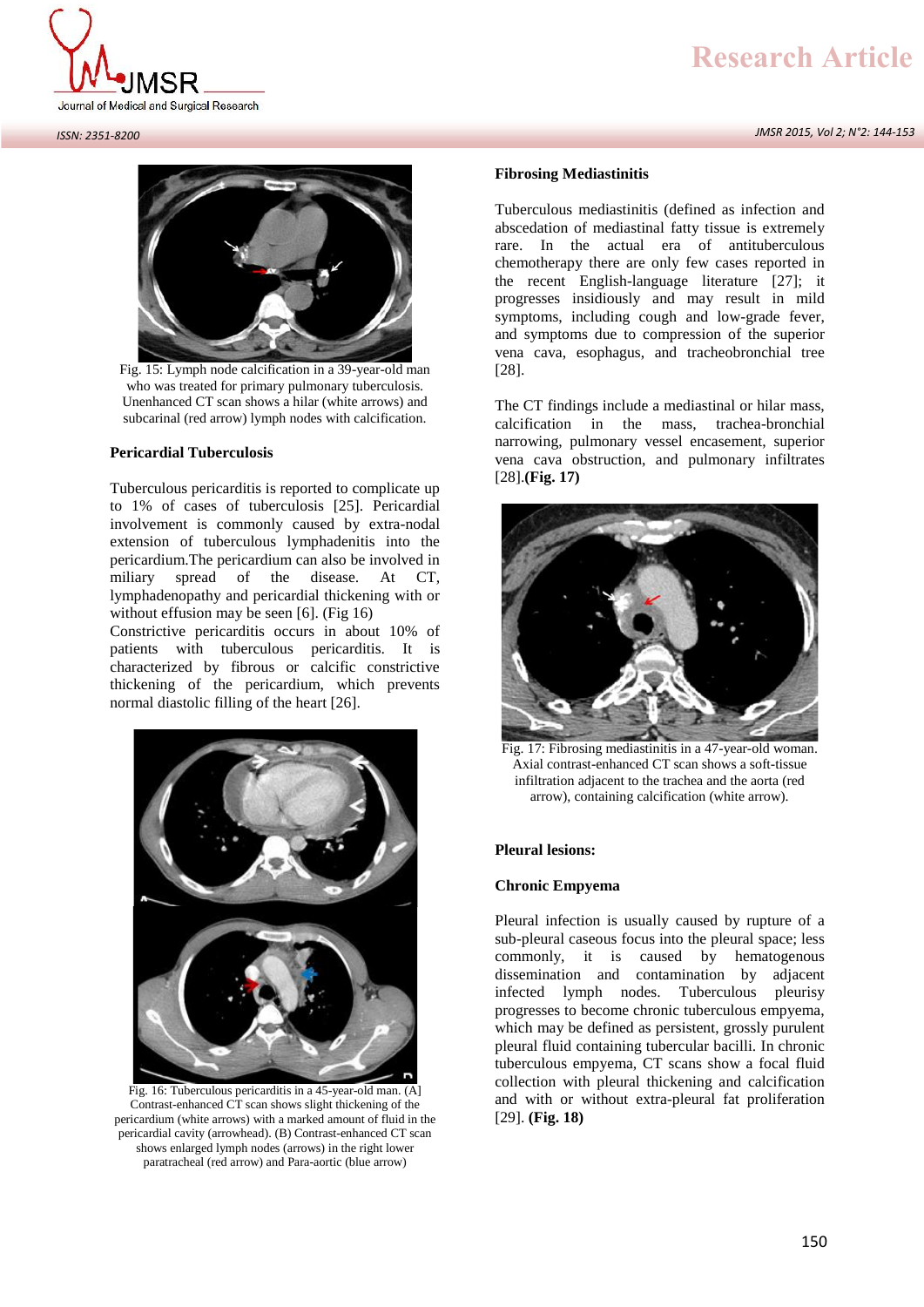*JMSR 2015, Vol 2; N°2: 144-153*





Fig. 15: Lymph node calcification in a 39-year-old man who was treated for primary pulmonary tuberculosis. Unenhanced CT scan shows a hilar (white arrows) and subcarinal (red arrow) lymph nodes with calcification.

# **Pericardial Tuberculosis**

Tuberculous pericarditis is reported to complicate up to 1% of cases of tuberculosis [25]. Pericardial involvement is commonly caused by extra-nodal extension of tuberculous lymphadenitis into the pericardium.The pericardium can also be involved in miliary spread of the disease. At CT, lymphadenopathy and pericardial thickening with or without effusion may be seen [6]. (Fig 16)

Constrictive pericarditis occurs in about 10% of patients with tuberculous pericarditis. It is characterized by fibrous or calcific constrictive thickening of the pericardium, which prevents normal diastolic filling of the heart [26].



Fig. 16: Tuberculous pericarditis in a 45-year-old man. (A] Contrast-enhanced CT scan shows slight thickening of the pericardium (white arrows) with a marked amount of fluid in the pericardial cavity (arrowhead). (B) Contrast-enhanced CT scan shows enlarged lymph nodes (arrows) in the right lower paratracheal (red arrow) and Para-aortic (blue arrow)

#### **Fibrosing Mediastinitis**

Tuberculous mediastinitis (defined as infection and abscedation of mediastinal fatty tissue is extremely rare. In the actual era of antituberculous chemotherapy there are only few cases reported in the recent English-language literature [27]; it progresses insidiously and may result in mild symptoms, including cough and low-grade fever, and symptoms due to compression of the superior vena cava, esophagus, and tracheobronchial tree [28].

The CT findings include a mediastinal or hilar mass, calcification in the mass, trachea-bronchial narrowing, pulmonary vessel encasement, superior vena cava obstruction, and pulmonary infiltrates [28].**(Fig. 17)**



Fig. 17: Fibrosing mediastinitis in a 47-year-old woman. Axial contrast-enhanced CT scan shows a soft-tissue infiltration adjacent to the trachea and the aorta (red arrow), containing calcification (white arrow).

#### **Pleural lesions:**

#### **Chronic Empyema**

Pleural infection is usually caused by rupture of a sub-pleural caseous focus into the pleural space; less commonly, it is caused by hematogenous dissemination and contamination by adjacent infected lymph nodes. Tuberculous pleurisy progresses to become chronic tuberculous empyema, which may be defined as persistent, grossly purulent pleural fluid containing tubercular bacilli. In chronic tuberculous empyema, CT scans show a focal fluid collection with pleural thickening and calcification and with or without extra-pleural fat proliferation [29]. **(Fig. 18)**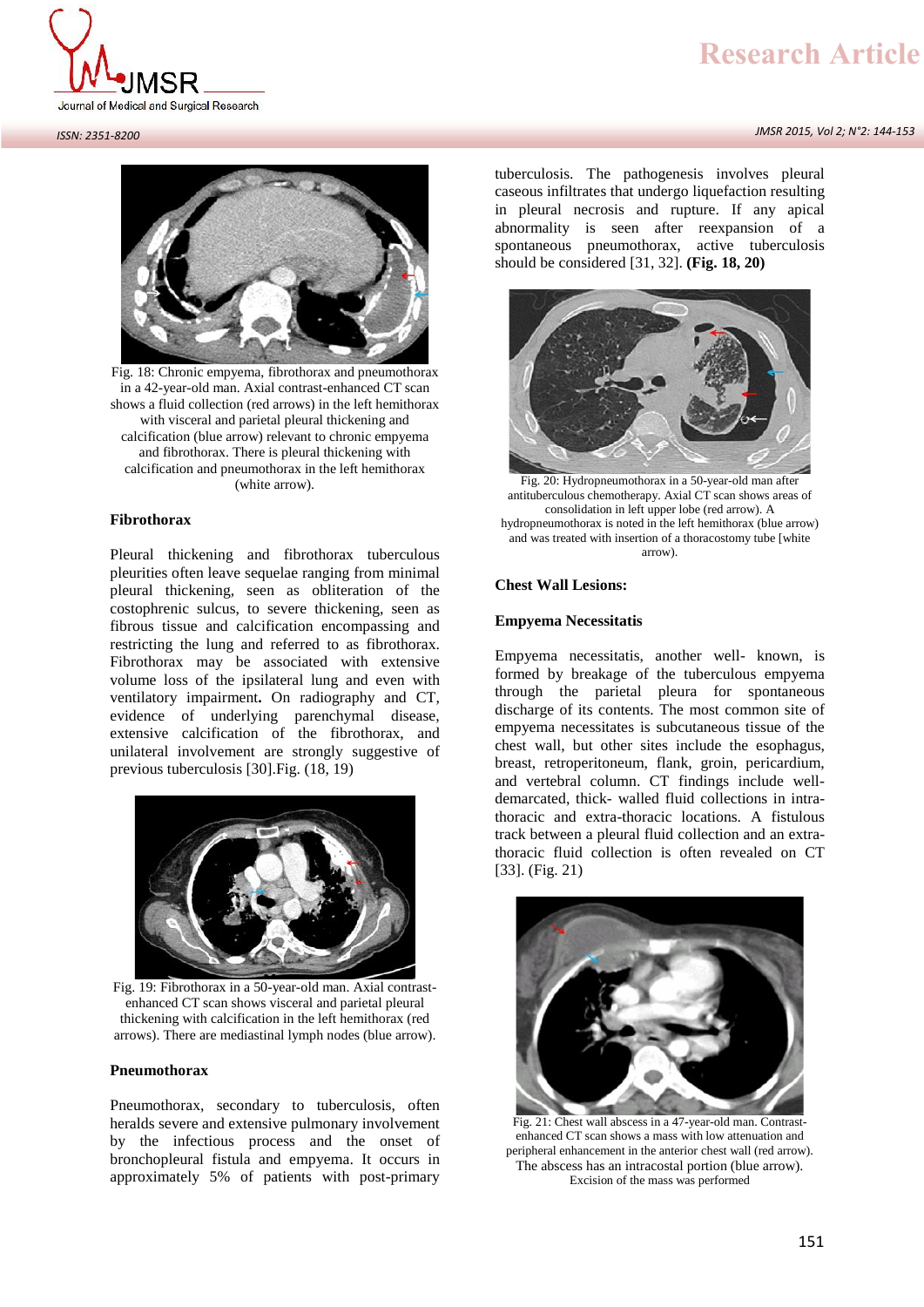

#### *JMSR 2015, Vol 2; N°2: 144-153*

*ISSN: 2351-8200*



Fig. 18: Chronic empyema, fibrothorax and pneumothorax in a 42-year-old man. Axial contrast-enhanced CT scan shows a fluid collection (red arrows) in the left hemithorax with visceral and parietal pleural thickening and calcification (blue arrow) relevant to chronic empyema and fibrothorax. There is pleural thickening with calcification and pneumothorax in the left hemithorax (white arrow).

# **Fibrothorax**

Pleural thickening and fibrothorax tuberculous pleurities often leave sequelae ranging from minimal pleural thickening, seen as obliteration of the costophrenic sulcus, to severe thickening, seen as fibrous tissue and calcification encompassing and restricting the lung and referred to as fibrothorax. Fibrothorax may be associated with extensive volume loss of the ipsilateral lung and even with ventilatory impairment**.** On radiography and CT, evidence of underlying parenchymal disease, extensive calcification of the fibrothorax, and unilateral involvement are strongly suggestive of previous tuberculosis [30].Fig. (18, 19)



Fig. 19: Fibrothorax in a 50-year-old man. Axial contrast enhanced CT scan shows visceral and parietal pleural thickening with calcification in the left hemithorax (red arrows). There are mediastinal lymph nodes (blue arrow).

#### **Pneumothorax**

Pneumothorax, secondary to tuberculosis, often heralds severe and extensive pulmonary involvement by the infectious process and the onset of bronchopleural fistula and empyema. It occurs in approximately 5% of patients with post-primary

tuberculosis. The pathogenesis involves pleural caseous infiltrates that undergo liquefaction resulting in pleural necrosis and rupture. If any apical abnormality is seen after reexpansion of a spontaneous pneumothorax, active tuberculosis should be considered [31, 32]. **(Fig. 18, 20)**



Fig. 20: Hydropneumothorax in a 50-year-old man after antituberculous chemotherapy. Axial CT scan shows areas of consolidation in left upper lobe (red arrow). A hydropneumothorax is noted in the left hemithorax (blue arrow) and was treated with insertion of a thoracostomy tube [white arrow).

# **Chest Wall Lesions:**

#### **Empyema Necessitatis**

Empyema necessitatis, another well- known, is formed by breakage of the tuberculous empyema through the parietal pleura for spontaneous discharge of its contents. The most common site of empyema necessitates is subcutaneous tissue of the chest wall, but other sites include the esophagus, breast, retroperitoneum, flank, groin, pericardium, and vertebral column. CT findings include well demarcated, thick- walled fluid collections in intrathoracic and extra-thoracic locations. A fistulous track between a pleural fluid collection and an extrathoracic fluid collection is often revealed on CT [33]. (Fig. 21)



Fig. 21: Chest wall abscess in a 47-year-old man. Contrast enhanced CT scan shows a mass with low attenuation and peripheral enhancement in the anterior chest wall (red arrow). The abscess has an intracostal portion (blue arrow). Excision of the mass was performed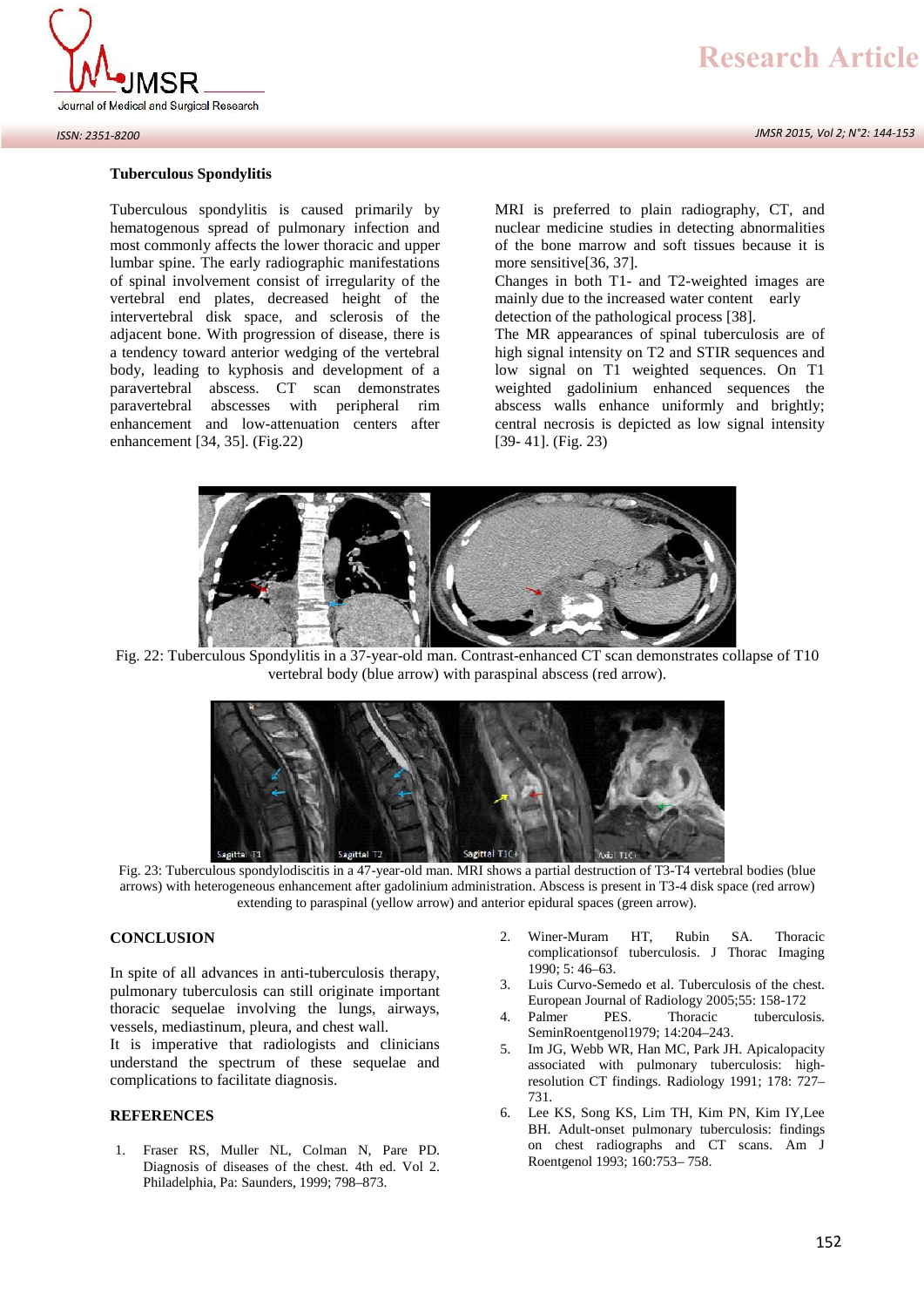

#### *ISSN: 2351-8200*

## **Tuberculous Spondylitis**

Tuberculous spondylitis is caused primarily by hematogenous spread of pulmonary infection and most commonly affects the lower thoracic and upper lumbar spine. The early radiographic manifestations of spinal involvement consist of irregularity of the vertebral end plates, decreased height of the intervertebral disk space, and sclerosis of the adjacent bone. With progression of disease, there is a tendency toward anterior wedging of the vertebral body, leading to kyphosis and development of a paravertebral abscess. CT scan demonstrates paravertebral abscesses with peripheral rim enhancement and low-attenuation centers after enhancement [34, 35]. (Fig.22)

MRI is preferred to plain radiography, CT, and nuclear medicine studies in detecting abnormalities of the bone marrow and soft tissues because it is more sensitive[36, 37].

Changes in both T1- and T2-weighted images are mainly due to the increased water content early detection of the pathological process [38].

The MR appearances of spinal tuberculosis are of high signal intensity on T2 and STIR sequences and low signal on T1 weighted sequences. On T1 weighted gadolinium enhanced sequences the abscess walls enhance uniformly and brightly; central necrosis is depicted as low signal intensity [39- 41]. (Fig. 23)



Fig. 22: Tuberculous Spondylitis in a 37-year-old man. Contrast-enhanced CT scan demonstrates collapse of T10 vertebral body (blue arrow) with paraspinal abscess (red arrow).



Fig. 23: Tuberculous spondylodiscitis in a 47-year-old man. MRI shows a partial destruction of T3-T4 vertebral bodies (blue arrows) with heterogeneous enhancement after gadolinium administration. Abscess is present in T3-4 disk space (red arrow) extending to paraspinal (yellow arrow) and anterior epidural spaces (green arrow).

#### **CONCLUSION**

In spite of all advances in anti-tuberculosis therapy, pulmonary tuberculosis can still originate important thoracic sequelae involving the lungs, airways, vessels, mediastinum, pleura, and chest wall.

It is imperative that radiologists and clinicians understand the spectrum of these sequelae and complications to facilitate diagnosis.

# **REFERENCES**

1. Fraser RS, Muller NL, Colman N, Pare PD. Diagnosis of diseases of the chest. 4th ed. Vol 2. Philadelphia, Pa: Saunders, 1999; 798–873.

- 2. Winer-Muram HT, Rubin SA. Thoracic complicationsof tuberculosis. J Thorac Imaging 1990; 5: 46–63.
- 3. Luis Curvo-Semedo et al. Tuberculosis of the chest. European Journal of Radiology 2005;55: 158-172
- 4. Palmer PES. Thoracic tuberculosis. SeminRoentgenol1979; 14:204–243.
- 5. Im JG, Webb WR, Han MC, Park JH. Apicalopacity associated with pulmonary tuberculosis: highresolution CT findings. Radiology 1991; 178: 727– 731.
- 6. Lee KS, Song KS, Lim TH, Kim PN, Kim IY,Lee BH. Adult-onset pulmonary tuberculosis: findings on chest radiographs and CT scans. Am J Roentgenol 1993; 160:753– 758.